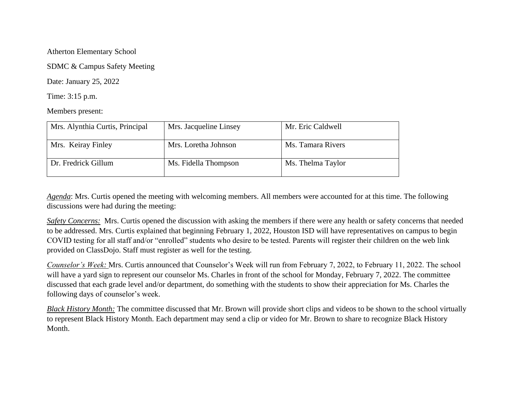Atherton Elementary School

SDMC & Campus Safety Meeting

Date: January 25, 2022

Time: 3:15 p.m.

Members present:

| Mrs. Alynthia Curtis, Principal | Mrs. Jacqueline Linsey | Mr. Eric Caldwell |
|---------------------------------|------------------------|-------------------|
| Mrs. Keiray Finley              | Mrs. Loretha Johnson   | Ms. Tamara Rivers |
| Dr. Fredrick Gillum             | Ms. Fidella Thompson   | Ms. Thelma Taylor |

*Agenda*: Mrs. Curtis opened the meeting with welcoming members. All members were accounted for at this time. The following discussions were had during the meeting:

*Safety Concerns:* Mrs. Curtis opened the discussion with asking the members if there were any health or safety concerns that needed to be addressed. Mrs. Curtis explained that beginning February 1, 2022, Houston ISD will have representatives on campus to begin COVID testing for all staff and/or "enrolled" students who desire to be tested. Parents will register their children on the web link provided on ClassDojo. Staff must register as well for the testing.

*Counselor's Week:* Mrs. Curtis announced that Counselor's Week will run from February 7, 2022, to February 11, 2022. The school will have a yard sign to represent our counselor Ms. Charles in front of the school for Monday, February 7, 2022. The committee discussed that each grade level and/or department, do something with the students to show their appreciation for Ms. Charles the following days of counselor's week.

*Black History Month:* The committee discussed that Mr. Brown will provide short clips and videos to be shown to the school virtually to represent Black History Month. Each department may send a clip or video for Mr. Brown to share to recognize Black History Month.